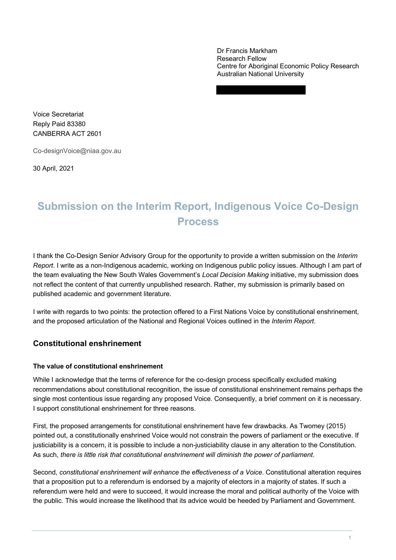Dr Francis Markham Centre for Aboriginal Economic Policy Research Australian National University Research Fellow

 Voice Secretariat Reply Paid 83380 CANBERRA ACT 2601

Co-designVoice@niaa.gov.au

30 April, 2021

# **Submission on the Interim Report, Indigenous Voice Co-Design Process**

 I thank the Co-Design Senior Advisory Group for the opportunity to provide a written submission on the *Interim Report*. I write as a non-Indigenous academic, working on Indigenous public policy issues. Although I am part of the team evaluating the New South Wales Government's *Local Decision Making* initiative, my submission does not reflect the content of that currently unpublished research. Rather, my submission is primarily based on published academic and government literature.

 I write with regards to two points: the protection offered to a First Nations Voice by constitutional enshrinement, and the proposed articulation of the National and Regional Voices outlined in the *Interim Report*.

## **Constitutional enshrinement**

## **The value of constitutional enshrinement**

 While I acknowledge that the terms of reference for the co-design process specifically excluded making I support constitutional enshrinement for three reasons. recommendations about constitutional recognition, the issue of constitutional enshrinement remains perhaps the single most contentious issue regarding any proposed Voice. Consequently, a brief comment on it is necessary.

 pointed out, a constitutionally enshrined Voice would not constrain the powers of parliament or the executive. If justiciability is a concern, it is possible to include a non-justiciability clause in any alteration to the Constitution. As such, *there is little risk that constitutional enshrinement will diminish the power of parliament*. First, the proposed arrangements for constitutional enshrinement have few drawbacks. As Twomey (2015)

 Second, *constitutional enshrinement will enhance the effectiveness of a Voice*. Constitutional alteration requires referendum were held and were to succeed, it would increase the moral and political authority of the Voice with that a proposition put to a referendum is endorsed by a majority of electors in a majority of states. If such a the public. This would increase the likelihood that its advice would be heeded by Parliament and Government.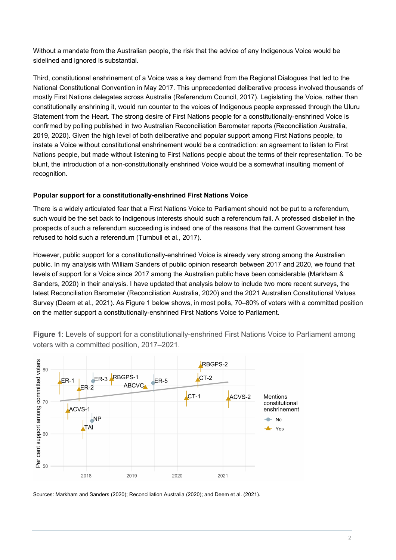Without a mandate from the Australian people, the risk that the advice of any Indigenous Voice would be sidelined and ignored is substantial.

 National Constitutional Convention in May 2017. This unprecedented deliberative process involved thousands of mostly First Nations delegates across Australia (Referendum Council, 2017). Legislating the Voice, rather than Statement from the Heart. The strong desire of First Nations people for a constitutionally-enshrined Voice is 2019, 2020). Given the high level of both deliberative and popular support among First Nations people, to Nations people, but made without listening to First Nations people about the terms of their representation. To be blunt, the introduction of a non-constitutionally enshrined Voice would be a somewhat insulting moment of Third, constitutional enshrinement of a Voice was a key demand from the Regional Dialogues that led to the constitutionally enshrining it, would run counter to the voices of Indigenous people expressed through the Uluru confirmed by polling published in two Australian Reconciliation Barometer reports (Reconciliation Australia, instate a Voice without constitutional enshrinement would be a contradiction: an agreement to listen to First recognition.

## **Popular support for a constitutionally-enshrined First Nations Voice**

 There is a widely articulated fear that a First Nations Voice to Parliament should not be put to a referendum, such would be the set back to Indigenous interests should such a referendum fail. A professed disbelief in the prospects of such a referendum succeeding is indeed one of the reasons that the current Government has refused to hold such a referendum (Turnbull et al., 2017).

 However, public support for a constitutionally-enshrined Voice is already very strong among the Australian public. In my analysis with William Sanders of public opinion research between 2017 and 2020, we found that levels of support for a Voice since 2017 among the Australian public have been considerable (Markham & Sanders, 2020) in their analysis. I have updated that analysis below to include two more recent surveys, the latest Reconciliation Barometer (Reconciliation Australia, 2020) and the 2021 Australian Constitutional Values Survey (Deem et al., 2021). As Figure 1 below shows, in most polls, 70–80% of voters with a committed position on the matter support a constitutionally-enshrined First Nations Voice to Parliament.

 **Figure 1**: Levels of support for a constitutionally-enshrined First Nations Voice to Parliament among voters with a committed position, 2017–2021.



Sources: Markham and Sanders (2020); Reconciliation Australia (2020); and Deem et al. (2021).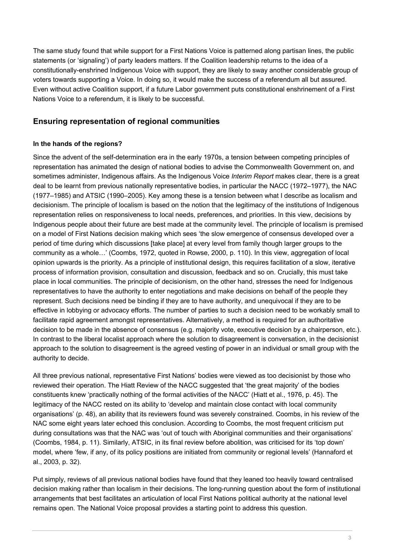The same study found that while support for a First Nations Voice is patterned along partisan lines, the public statements (or 'signaling') of party leaders matters. If the Coalition leadership returns to the idea of a constitutionally-enshrined Indigenous Voice with support, they are likely to sway another considerable group of Even without active Coalition support, if a future Labor government puts constitutional enshrinement of a First Nations Voice to a referendum, it is likely to be successful. voters towards supporting a Voice. In doing so, it would make the success of a referendum all but assured.

## **Ensuring representation of regional communities**

## **In the hands of the regions?**

 Since the advent of the self-determination era in the early 1970s, a tension between competing principles of representation has animated the design of national bodies to advise the Commonwealth Government on, and sometimes administer, Indigenous affairs. As the Indigenous Voice *Interim Report* makes clear, there is a great deal to be learnt from previous nationally representative bodies, in particular the NACC (1972–1977), the NAC (1977–1985) and ATSIC (1990–2005). Key among these is a tension between what I describe as localism and decisionism. The principle of localism is based on the notion that the legitimacy of the institutions of Indigenous on a model of First Nations decision making which sees 'the slow emergence of consensus developed over a period of time during which discussions [take place] at every level from family though larger groups to the opinion upwards is the priority. As a principle of institutional design, this requires facilitation of a slow, iterative place in local communities. The principle of decisionism, on the other hand, stresses the need for Indigenous representatives to have the authority to enter negotiations and make decisions on behalf of the people they represent. Such decisions need be binding if they are to have authority, and unequivocal if they are to be effective in lobbying or advocacy efforts. The number of parties to such a decision need to be workably small to facilitate rapid agreement amongst representatives. Alternatively, a method is required for an authoritative approach to the solution to disagreement is the agreed vesting of power in an individual or small group with the representation relies on responsiveness to local needs, preferences, and priorities. In this view, decisions by Indigenous people about their future are best made at the community level. The principle of localism is premised community as a whole…' (Coombs, 1972, quoted in Rowse, 2000, p. 110). In this view, aggregation of local process of information provision, consultation and discussion, feedback and so on. Crucially, this must take decision to be made in the absence of consensus (e.g. majority vote, executive decision by a chairperson, etc.). In contrast to the liberal localist approach where the solution to disagreement is conversation, in the decisionist authority to decide.

 All three previous national, representative First Nations' bodies were viewed as too decisionist by those who reviewed their operation. The Hiatt Review of the NACC suggested that 'the great majority' of the bodies legitimacy of the NACC rested on its ability to 'develop and maintain close contact with local community organisations' (p. 48), an ability that its reviewers found was severely constrained. Coombs, in his review of the NAC some eight years later echoed this conclusion. According to Coombs, the most frequent criticism put during consultations was that the NAC was 'out of touch with Aboriginal communities and their organisations' (Coombs, 1984, p. 11). Similarly, ATSIC, in its final review before abolition, was criticised for its 'top down' model, where 'few, if any, of its policy positions are initiated from community or regional levels' (Hannaford et al., 2003, p. 32). constituents knew 'practically nothing of the formal activities of the NACC' (Hiatt et al., 1976, p. 45). The

 Put simply, reviews of all previous national bodies have found that they leaned too heavily toward centralised decision making rather than localism in their decisions. The long-running question about the form of institutional arrangements that best facilitates an articulation of local First Nations political authority at the national level remains open. The National Voice proposal provides a starting point to address this question.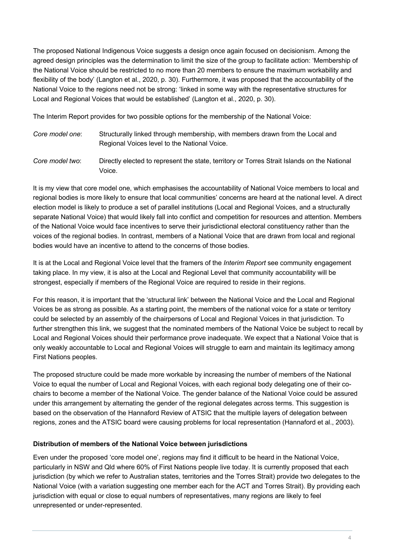The proposed National Indigenous Voice suggests a design once again focused on decisionism. Among the agreed design principles was the determination to limit the size of the group to facilitate action: 'Membership of flexibility of the body' (Langton et al., 2020, p. 30). Furthermore, it was proposed that the accountability of the National Voice to the regions need not be strong: 'linked in some way with the representative structures for Local and Regional Voices that would be established' (Langton et al., 2020, p. 30). the National Voice should be restricted to no more than 20 members to ensure the maximum workability and

The Interim Report provides for two possible options for the membership of the National Voice:

| Core model one: | Structurally linked through membership, with members drawn from the Local and |
|-----------------|-------------------------------------------------------------------------------|
|                 | Regional Voices level to the National Voice.                                  |

Core model two: *Core model two*: Directly elected to represent the state, territory or Torres Strait Islands on the National Voice.

 It is my view that core model one, which emphasises the accountability of National Voice members to local and regional bodies is more likely to ensure that local communities' concerns are heard at the national level. A direct election model is likely to produce a set of parallel institutions (Local and Regional Voices, and a structurally separate National Voice) that would likely fall into conflict and competition for resources and attention. Members voices of the regional bodies. In contrast, members of a National Voice that are drawn from local and regional bodies would have an incentive to attend to the concerns of those bodies. of the National Voice would face incentives to serve their jurisdictional electoral constituency rather than the

 taking place. In my view, it is also at the Local and Regional Level that community accountability will be strongest, especially if members of the Regional Voice are required to reside in their regions. It is at the Local and Regional Voice level that the framers of the *Interim Report* see community engagement

 For this reason, it is important that the 'structural link' between the National Voice and the Local and Regional Voices be as strong as possible. As a starting point, the members of the national voice for a state or territory could be selected by an assembly of the chairpersons of Local and Regional Voices in that jurisdiction. To Local and Regional Voices should their performance prove inadequate. We expect that a National Voice that is only weakly accountable to Local and Regional Voices will struggle to earn and maintain its legitimacy among First Nations peoples. further strengthen this link, we suggest that the nominated members of the National Voice be subject to recall by

 The proposed structure could be made more workable by increasing the number of members of the National Voice to equal the number of Local and Regional Voices, with each regional body delegating one of their co- chairs to become a member of the National Voice. The gender balance of the National Voice could be assured under this arrangement by alternating the gender of the regional delegates across terms. This suggestion is based on the observation of the Hannaford Review of ATSIC that the multiple layers of delegation between regions, zones and the ATSIC board were causing problems for local representation (Hannaford et al., 2003).

## **Distribution of members of the National Voice between jurisdictions**

 particularly in NSW and Qld where 60% of First Nations people live today. It is currently proposed that each jurisdiction (by which we refer to Australian states, territories and the Torres Strait) provide two delegates to the National Voice (with a variation suggesting one member each for the ACT and Torres Strait). By providing each jurisdiction with equal or close to equal numbers of representatives, many regions are likely to feel unrepresented or under-represented. Even under the proposed 'core model one', regions may find it difficult to be heard in the National Voice, unrepresented or under-represented.<br>  $\frac{4}{4}$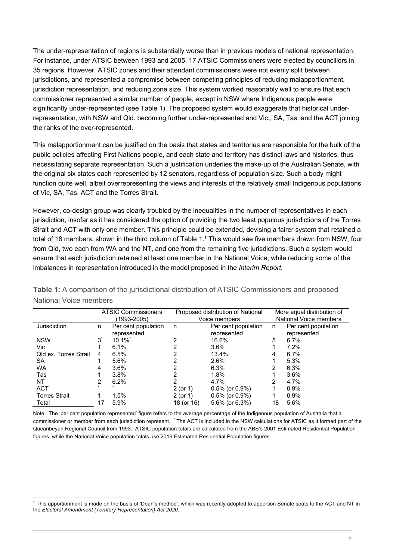For instance, under ATSIC between 1993 and 2005, 17 ATSIC Commissioners were elected by councillors in 35 regions. However, ATSIC zones and their attendant commissioners were not evenly split between jurisdiction representation, and reducing zone size. This system worked reasonably well to ensure that each commissioner represented a similar number of people, except in NSW where Indigenous people were significantly under-represented (see Table 1). The proposed system would exaggerate that historical under-The under-representation of regions is substantially worse than in previous models of national representation. jurisdictions, and represented a compromise between competing principles of reducing malapportionment, representation, with NSW and Qld. becoming further under-represented and Vic., SA, Tas. and the ACT joining the ranks of the over-represented.

 This malapportionment can be justified on the basis that states and territories are responsible for the bulk of the of Vic, SA, Tas, ACT and the Torres Strait. public policies affecting First Nations people, and each state and territory has distinct laws and histories, thus necessitating separate representation. Such a justification underlies the make-up of the Australian Senate, with the original six states each represented by 12 senators, regardless of population size. Such a body might function quite well, albeit overrepresenting the views and interests of the relatively small Indigenous populations

 However, co-design group was clearly troubled by the inequalities in the number of representatives in each jurisdiction, insofar as it has considered the option of providing the two least populous jurisdictions of the Torres Strait and ACT with only one member. This principle could be extended, devising a fairer system that retained a total of 18 members, shown in the third column of Table 1.<sup>1</sup> This would see five members drawn from NSW, four from Qld, two each from WA and the NT, and one from the remaining five jurisdictions. Such a system would ensure that each jurisdiction retained at least one member in the National Voice, while reducing some of the imbalances in representation introduced in the model proposed in the *Interim Report*.

|                              | <b>ATSIC Commissioners</b><br>(1993-2005) |                                    | Proposed distribution of National<br>Voice members |                                    | More equal distribution of<br>National Voice members |                                    |
|------------------------------|-------------------------------------------|------------------------------------|----------------------------------------------------|------------------------------------|------------------------------------------------------|------------------------------------|
| Jurisdiction                 | n.                                        | Per cent population<br>represented | n                                                  | Per cent population<br>represented | n.                                                   | Per cent population<br>represented |
| <b>NSW</b>                   |                                           | $10.1\%$ <sup>*</sup>              | າ                                                  | 16.6%                              | 5                                                    | $6.7\%$                            |
| Vic.                         |                                           | 6.1%                               |                                                    | $3.6\%$                            |                                                      | 7.2%                               |
| <b>Qld ex. Torres Strait</b> | 4                                         | 6.5%                               |                                                    | 13.4%                              | 4                                                    | $6.7\%$                            |
| SA.                          |                                           | 5.6%                               |                                                    | 2.6%                               |                                                      | 5.3%                               |
| <b>WA</b>                    | 4                                         | 3.6%                               |                                                    | 6.3%                               |                                                      | 6.3%                               |
| Tas                          |                                           | 3.8%                               |                                                    | $1.8\%$                            |                                                      | 3.6%                               |
| NT                           |                                           | 6.2%                               | າ                                                  | 4.7%                               | 2                                                    | 4.7%                               |
| <b>ACT</b>                   |                                           |                                    | 2 (or 1)                                           | $0.5\%$ (or $0.9\%)$               |                                                      | 0.9%                               |
| <b>Torres Strait</b>         |                                           | 1.5%                               | 2 (or 1)                                           | $0.5\%$ (or $0.9\%)$               |                                                      | 0.9%                               |
| Total                        | 17                                        | 5.9%                               | 18 (or 16)                                         | $5.6\%$ (or $6.3\%$ )              | 18                                                   | 5.6%                               |

 **Table 1**: A comparison of the jurisdictional distribution of ATSIC Commissioners and proposed National Voice members

 Note: The 'per cent population represented' figure refers to the average percentage of the Indigenous population of Australia that a commissioner or member from each jurisdiction represent. \* The ACT is included in the NSW calculations for ATSIC as it formed part of the Queanbeyan Regional Council from 1993. ATSIC population totals are calculated from the ABS's 2001 Estimated Residential Population figures, while the National Voice population totals use 2016 Estimated Residential Population figures.

 1 This apportionment is made on the basis of 'Dean's method', which was recently adopted to apportion Senate seats to the ACT and NT in  the *Electoral Amendment (Territory Representation) Act 2020*.